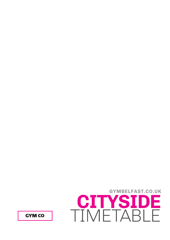**GYM CO** 

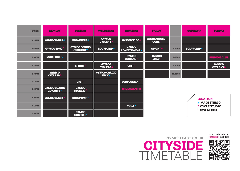



scan code to book<br>cityside classes

| <b>TIMES</b>  | <b>MONDAY</b>                           | <b>TUESDAY</b>                          | <b>WEDNESDAY</b>                     | <b>THURSDAY</b>                      | <b>FRIDAY</b>                       |         | <b>SATURDAY</b> | <b>SUNDAY</b>                        |
|---------------|-----------------------------------------|-----------------------------------------|--------------------------------------|--------------------------------------|-------------------------------------|---------|-----------------|--------------------------------------|
| 6.15AM        | GYMCO BLAST≠                            | BODYPUMP≠                               | <b>GYMCO</b><br>CYCLE 45 $\triangle$ | GYMCO 50:50 △                        | GYMCO CYCLE+<br><b>CORE</b>         |         |                 |                                      |
| 9.45AM        | GYMCO 50:50 △                           | <b>GYMCO BOXING</b><br><b>CIRCUITS≠</b> | BODYPUMP≠                            | <b>GYMCO</b><br>CONDITIONING≠        | <b>SPRINT</b> <sup>1</sup>          | 8.15AM  | BODYPUMP≠       |                                      |
| 5.30PM        | <b>BODYPUMP≠</b>                        |                                         |                                      | <b>GYMCO</b><br>CYCLE 45 $\triangle$ | <b>GYMCO</b><br>$50:50^{\triangle}$ | 8.30AM  |                 | <b>RUNNING CLUB</b>                  |
| 5.45PM        |                                         | <b>SPRINT</b> <sup>4</sup>              | <b>GYMCO</b><br>CYCLE 45 $\triangle$ | GRIT≠                                |                                     | 9.30AM  |                 | <b>GYMCO</b><br>CYCLE 45 $\triangle$ |
| 6.00PM        | <b>GYMCO</b><br>CYCLE30 <sup>∆</sup>    |                                         | <b>GYMCO CARDIO</b><br>KICK≠         |                                      |                                     | 10.30AM |                 |                                      |
| 6.15PM        |                                         | GRIT $\neq$                             |                                      | <b>BODYCOMBAT≠</b>                   |                                     |         |                 |                                      |
| 6.30PM        | <b>GYMCO BOXING</b><br><b>CIRCUITS≠</b> | <b>GYMCO</b><br>CYCLE30 <sup>∆</sup>    |                                      | <b>RUNNING CLUB</b>                  |                                     |         |                 |                                      |
| <b>7.00PM</b> | <b>GYMCO BLAST!</b>                     | BODYPUMP≠                               |                                      |                                      |                                     |         | <b>LOCATION</b> |                                      |
| 7.15PM        |                                         |                                         |                                      | <b>YOGA</b> ≠                        |                                     |         |                 | $\neq$ MAIN STUDIO<br>△ CYCLE STUDIO |
| 7.45PM        |                                         | <b>GYMCO</b><br><b>STRETCH≠</b>         |                                      |                                      |                                     |         |                 | <b>SWEAT BOX</b>                     |